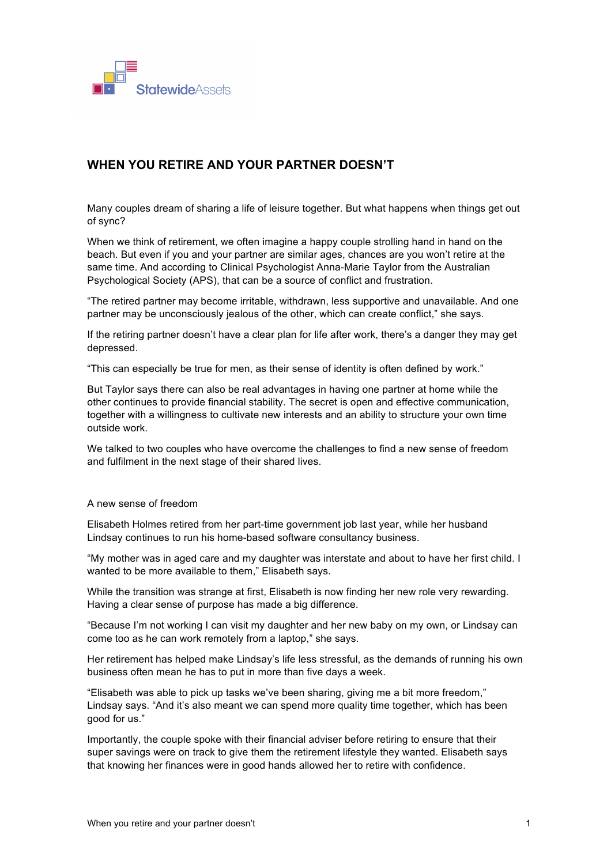

## **WHEN YOU RETIRE AND YOUR PARTNER DOESN'T**

Many couples dream of sharing a life of leisure together. But what happens when things get out of sync?

When we think of retirement, we often imagine a happy couple strolling hand in hand on the beach. But even if you and your partner are similar ages, chances are you won't retire at the same time. And according to Clinical Psychologist Anna-Marie Taylor from the Australian Psychological Society (APS), that can be a source of conflict and frustration.

"The retired partner may become irritable, withdrawn, less supportive and unavailable. And one partner may be unconsciously jealous of the other, which can create conflict," she says.

If the retiring partner doesn't have a clear plan for life after work, there's a danger they may get depressed.

"This can especially be true for men, as their sense of identity is often defined by work."

But Taylor says there can also be real advantages in having one partner at home while the other continues to provide financial stability. The secret is open and effective communication, together with a willingness to cultivate new interests and an ability to structure your own time outside work.

We talked to two couples who have overcome the challenges to find a new sense of freedom and fulfilment in the next stage of their shared lives.

## A new sense of freedom

Elisabeth Holmes retired from her part-time government job last year, while her husband Lindsay continues to run his home-based software consultancy business.

"My mother was in aged care and my daughter was interstate and about to have her first child. I wanted to be more available to them," Elisabeth says.

While the transition was strange at first, Elisabeth is now finding her new role very rewarding. Having a clear sense of purpose has made a big difference.

"Because I'm not working I can visit my daughter and her new baby on my own, or Lindsay can come too as he can work remotely from a laptop," she says.

Her retirement has helped make Lindsay's life less stressful, as the demands of running his own business often mean he has to put in more than five days a week.

"Elisabeth was able to pick up tasks we've been sharing, giving me a bit more freedom," Lindsay says. "And it's also meant we can spend more quality time together, which has been good for us."

Importantly, the couple spoke with their financial adviser before retiring to ensure that their super savings were on track to give them the retirement lifestyle they wanted. Elisabeth says that knowing her finances were in good hands allowed her to retire with confidence.